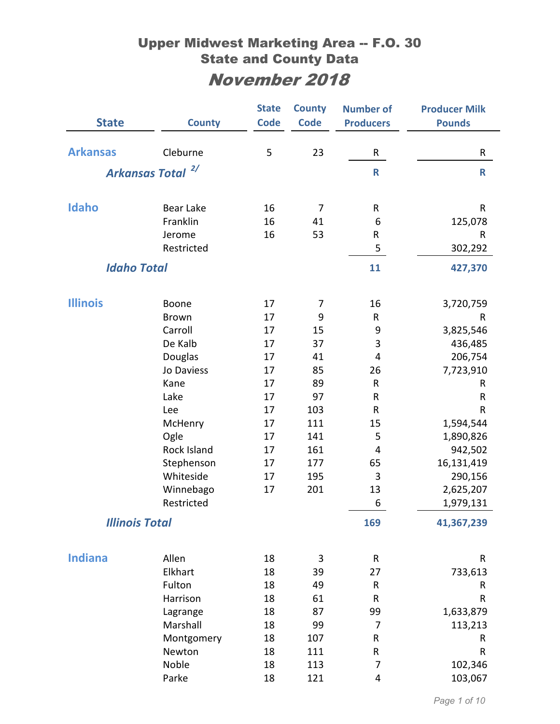| <b>State</b>                 | <b>County</b>        | <b>State</b><br><b>Code</b> | <b>County</b><br><b>Code</b> | <b>Number of</b><br><b>Producers</b> | <b>Producer Milk</b><br><b>Pounds</b> |
|------------------------------|----------------------|-----------------------------|------------------------------|--------------------------------------|---------------------------------------|
|                              |                      |                             |                              |                                      |                                       |
| <b>Arkansas</b>              | Cleburne             | 5                           | 23                           | R                                    | R                                     |
| Arkansas Total <sup>2/</sup> |                      |                             |                              | $\mathbf R$                          | $\mathsf{R}$                          |
| <b>Idaho</b>                 | Bear Lake            | 16                          | 7                            | R                                    | $\mathsf{R}$                          |
|                              | Franklin             | 16                          | 41                           | 6                                    | 125,078                               |
|                              | Jerome               | 16                          | 53                           | ${\sf R}$                            | $\mathsf R$                           |
|                              | Restricted           |                             |                              | 5                                    | 302,292                               |
|                              |                      |                             |                              |                                      |                                       |
| <b>Idaho Total</b>           |                      |                             |                              | 11                                   | 427,370                               |
| <b>Illinois</b>              | Boone                | 17                          | 7                            | 16                                   | 3,720,759                             |
|                              | <b>Brown</b>         | 17                          | 9                            | $\mathsf{R}$                         | R                                     |
|                              | Carroll              | 17                          | 15                           | 9                                    | 3,825,546                             |
|                              | De Kalb              | 17                          | 37                           | 3                                    | 436,485                               |
|                              | Douglas              | 17                          | 41                           | 4                                    | 206,754                               |
|                              | Jo Daviess           | 17                          | 85                           | 26                                   | 7,723,910                             |
|                              | Kane                 | 17                          | 89                           | $\mathsf{R}$                         | R                                     |
|                              | Lake                 | 17                          | 97                           | R                                    | R                                     |
|                              | Lee                  | 17                          | 103                          | $\mathsf{R}$                         | R                                     |
|                              | McHenry              | 17                          | 111                          | 15                                   | 1,594,544                             |
|                              | Ogle                 | 17                          | 141                          | 5                                    | 1,890,826                             |
|                              | Rock Island          | 17                          | 161                          | $\overline{4}$                       | 942,502                               |
|                              | Stephenson           | 17                          | 177                          | 65                                   | 16,131,419                            |
|                              | Whiteside            | 17                          | 195                          | 3                                    | 290,156                               |
|                              | Winnebago            | 17                          | 201                          | 13                                   | 2,625,207                             |
|                              | Restricted           |                             |                              | $\boldsymbol{6}$                     | 1,979,131                             |
| <b>Illinois Total</b>        |                      |                             |                              | 169                                  | 41,367,239                            |
| <b>Indiana</b>               |                      |                             |                              |                                      |                                       |
|                              | Allen<br>Elkhart     | 18<br>18                    | 3<br>39                      | $\mathsf{R}$<br>27                   | ${\sf R}$                             |
|                              | Fulton               | 18                          | 49                           | $\mathsf{R}$                         | 733,613<br>R                          |
|                              | Harrison             | 18                          | 61                           | ${\sf R}$                            | ${\sf R}$                             |
|                              |                      | 18                          | 87                           | 99                                   | 1,633,879                             |
|                              | Lagrange<br>Marshall | 18                          | 99                           | $\overline{7}$                       |                                       |
|                              | Montgomery           | 18                          | 107                          | R                                    | 113,213<br>R                          |
|                              | Newton               | 18                          | 111                          | R                                    | R                                     |
|                              | Noble                | 18                          | 113                          | 7                                    | 102,346                               |
|                              | Parke                | 18                          | 121                          | 4                                    | 103,067                               |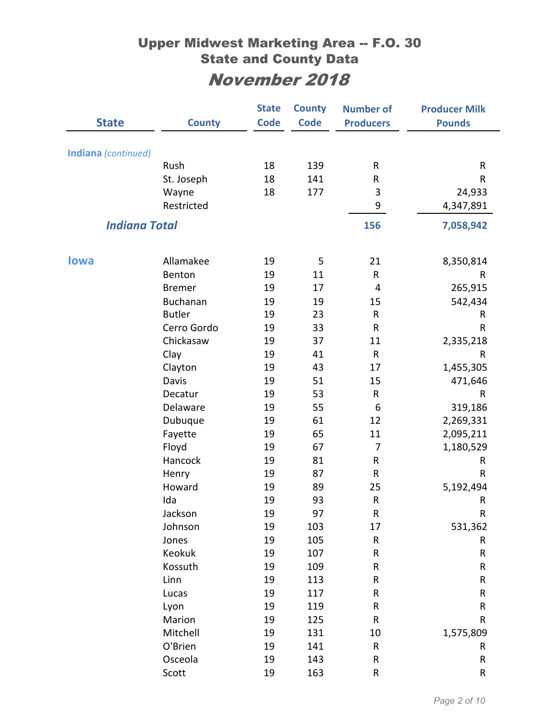|                      |               | <b>State</b> | <b>County</b> | <b>Number of</b> | <b>Producer Milk</b> |
|----------------------|---------------|--------------|---------------|------------------|----------------------|
| <b>State</b>         | <b>County</b> | <b>Code</b>  | <b>Code</b>   | <b>Producers</b> | <b>Pounds</b>        |
|                      |               |              |               |                  |                      |
| Indiana (continued)  |               |              |               |                  |                      |
|                      | Rush          | 18           | 139           | R                | R                    |
|                      | St. Joseph    | 18           | 141           | R                | R                    |
|                      | Wayne         | 18           | 177           | 3                | 24,933               |
|                      | Restricted    |              |               | 9                | 4,347,891            |
| <b>Indiana Total</b> |               |              |               | 156              | 7,058,942            |
|                      |               |              |               |                  |                      |
| <b>lowa</b>          | Allamakee     | 19           | 5             | 21               | 8,350,814            |
|                      | Benton        | 19           | 11            | R                | R                    |
|                      | <b>Bremer</b> | 19           | 17            | $\overline{4}$   | 265,915              |
|                      | Buchanan      | 19           | 19            | 15               | 542,434              |
|                      | <b>Butler</b> | 19           | 23            | R                | R                    |
|                      | Cerro Gordo   | 19           | 33            | R                | R                    |
|                      | Chickasaw     | 19           | 37            | 11               | 2,335,218            |
|                      | Clay          | 19           | 41            | ${\sf R}$        | R                    |
|                      | Clayton       | 19           | 43            | 17               | 1,455,305            |
|                      | Davis         | 19           | 51            | 15               | 471,646              |
|                      | Decatur       | 19           | 53            | R                | R                    |
|                      | Delaware      | 19           | 55            | 6                | 319,186              |
|                      | Dubuque       | 19           | 61            | 12               | 2,269,331            |
|                      | Fayette       | 19           | 65            | 11               | 2,095,211            |
|                      | Floyd         | 19           | 67            | 7                | 1,180,529            |
|                      | Hancock       | 19           | 81            | R                | R                    |
|                      | Henry         | 19           | 87            | ${\sf R}$        | R                    |
|                      | Howard        | 19           | 89            | 25               | 5,192,494            |
|                      | Ida           | 19           | 93            | ${\sf R}$        | R                    |
|                      | Jackson       | 19           | 97            | ${\sf R}$        | R                    |
|                      | Johnson       | 19           | 103           | 17               | 531,362              |
|                      | Jones         | 19           | 105           | ${\sf R}$        | R                    |
|                      | Keokuk        | 19           | 107           | R                | R                    |
|                      | Kossuth       | 19           | 109           | R                | R                    |
|                      | Linn          | 19           | 113           | R                | R                    |
|                      | Lucas         | 19           | 117           | ${\sf R}$        | ${\sf R}$            |
|                      | Lyon          | 19           | 119           | R                | R                    |
|                      | Marion        | 19           | 125           | R                | R                    |
|                      | Mitchell      | 19           | 131           | 10               | 1,575,809            |
|                      | O'Brien       | 19           | 141           | ${\sf R}$        | R                    |
|                      | Osceola       | 19           | 143           | ${\sf R}$        | ${\sf R}$            |
|                      | Scott         | 19           | 163           | R                | R                    |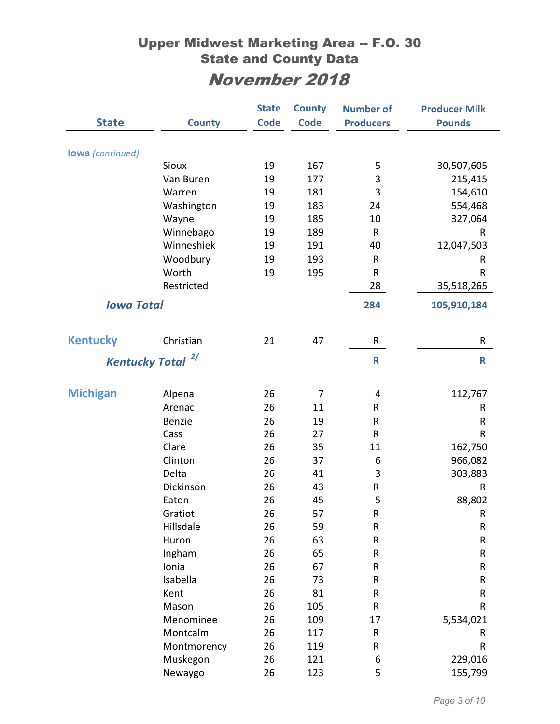|                         |               | <b>State</b> | <b>County</b> | <b>Number of</b> | <b>Producer Milk</b> |
|-------------------------|---------------|--------------|---------------|------------------|----------------------|
| <b>State</b>            | <b>County</b> | <b>Code</b>  | <b>Code</b>   | <b>Producers</b> | <b>Pounds</b>        |
|                         |               |              |               |                  |                      |
| <b>lowa</b> (continued) |               |              |               |                  |                      |
|                         | <b>Sioux</b>  | 19           | 167           | 5                | 30,507,605           |
|                         | Van Buren     | 19           | 177           | 3                | 215,415              |
|                         | Warren        | 19           | 181           | 3                | 154,610              |
|                         | Washington    | 19           | 183           | 24               | 554,468              |
|                         | Wayne         | 19           | 185           | 10               | 327,064              |
|                         | Winnebago     | 19           | 189           | $\mathsf{R}$     | R                    |
|                         | Winneshiek    | 19           | 191           | 40               | 12,047,503           |
|                         | Woodbury      | 19           | 193           | $\mathsf{R}$     | R                    |
|                         | Worth         | 19           | 195           | $\mathsf{R}$     | R                    |
|                         | Restricted    |              |               | 28               | 35,518,265           |
| <b>Iowa Total</b>       |               |              |               | 284              | 105,910,184          |
| <b>Kentucky</b>         | Christian     | 21           | 47            | R                | R                    |
|                         | 2/            |              |               |                  |                      |
| <b>Kentucky Total</b>   |               |              |               | $\mathsf{R}$     | $\mathsf R$          |
| <b>Michigan</b>         | Alpena        | 26           | 7             | 4                | 112,767              |
|                         | Arenac        | 26           | 11            | R                | R                    |
|                         | Benzie        | 26           | 19            | $\mathsf{R}$     | R                    |
|                         | Cass          | 26           | 27            | $\mathsf{R}$     | R                    |
|                         | Clare         | 26           | 35            | 11               | 162,750              |
|                         | Clinton       | 26           | 37            | 6                | 966,082              |
|                         | Delta         | 26           | 41            | 3                | 303,883              |
|                         | Dickinson     | 26           | 43            | R                | R                    |
|                         | Eaton         | 26           | 45            | 5                | 88,802               |
|                         | Gratiot       | 26           | 57            | R                | R                    |
|                         | Hillsdale     | 26           | 59            | ${\sf R}$        | ${\sf R}$            |
|                         | Huron         | 26           | 63            | ${\sf R}$        | ${\sf R}$            |
|                         | Ingham        | 26           | 65            | R                | ${\sf R}$            |
|                         | Ionia         | 26           | 67            | R                | ${\sf R}$            |
|                         | Isabella      | 26           | 73            | R                | R                    |
|                         | Kent          | 26           | 81            | ${\sf R}$        | ${\sf R}$            |
|                         | Mason         | 26           | 105           | R                | R                    |
|                         | Menominee     | 26           | 109           | 17               | 5,534,021            |
|                         | Montcalm      | 26           | 117           | ${\sf R}$        | R                    |
|                         | Montmorency   | 26           | 119           | R                | R                    |
|                         | Muskegon      | 26           | 121           | $\boldsymbol{6}$ | 229,016              |
|                         | Newaygo       | 26           | 123           | 5                | 155,799              |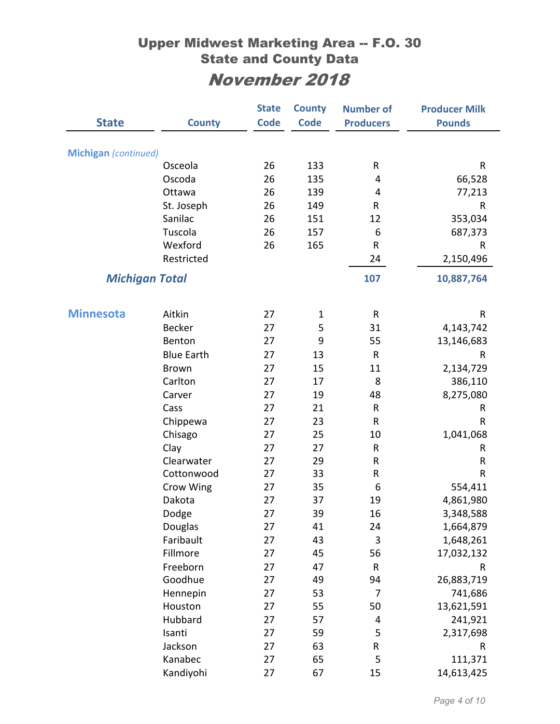|                      |                       | <b>State</b> | <b>County</b> | <b>Number of</b> | <b>Producer Milk</b> |
|----------------------|-----------------------|--------------|---------------|------------------|----------------------|
| <b>State</b>         | <b>County</b>         | <b>Code</b>  | <b>Code</b>   | <b>Producers</b> | <b>Pounds</b>        |
|                      |                       |              |               |                  |                      |
| Michigan (continued) |                       |              |               |                  |                      |
|                      | Osceola               | 26           | 133           | R                | $\mathsf{R}$         |
|                      | Oscoda                | 26           | 135           | 4                | 66,528               |
|                      | Ottawa                | 26           | 139           | 4                | 77,213               |
|                      | St. Joseph            | 26           | 149           | R                | $\mathsf{R}$         |
|                      | Sanilac               | 26           | 151           | 12               | 353,034              |
|                      | Tuscola               | 26           | 157           | 6                | 687,373              |
|                      | Wexford               | 26           | 165           | ${\sf R}$        | R                    |
|                      | Restricted            |              |               | 24               | 2,150,496            |
|                      | <b>Michigan Total</b> |              |               | 107              | 10,887,764           |
|                      |                       |              |               |                  |                      |
| <b>Minnesota</b>     | Aitkin                | 27           | $\mathbf 1$   | ${\sf R}$        | R                    |
|                      | <b>Becker</b>         | 27           | 5             | 31               | 4,143,742            |
|                      | Benton                | 27           | 9             | 55               | 13,146,683           |
|                      | <b>Blue Earth</b>     | 27           | 13            | $\mathsf{R}$     | R                    |
|                      | <b>Brown</b>          | 27           | 15            | 11               | 2,134,729            |
|                      | Carlton               | 27           | 17            | 8                | 386,110              |
|                      | Carver                | 27           | 19            | 48               | 8,275,080            |
|                      | Cass                  | 27           | 21            | ${\sf R}$        | R                    |
|                      | Chippewa              | 27           | 23            | ${\sf R}$        | $\sf R$              |
|                      | Chisago               | 27           | 25            | 10               | 1,041,068            |
|                      | Clay                  | 27           | 27            | ${\sf R}$        | R                    |
|                      | Clearwater            | 27           | 29            | R                | $\mathsf R$          |
|                      | Cottonwood            | 27           | 33            | ${\sf R}$        | $\sf R$              |
|                      | Crow Wing             | 27           | 35            | 6                | 554,411              |
|                      | Dakota                | 27           | 37            | 19               | 4,861,980            |
|                      | Dodge                 | 27           | 39            | 16               | 3,348,588            |
|                      | Douglas               | 27           | 41            | 24               | 1,664,879            |
|                      | Faribault             | 27           | 43            | $\mathsf 3$      | 1,648,261            |
|                      | Fillmore              | 27           | 45            | 56               | 17,032,132           |
|                      | Freeborn              | 27           | 47            | ${\sf R}$        | ${\sf R}$            |
|                      | Goodhue               | 27           | 49            | 94               | 26,883,719           |
|                      | Hennepin              | 27           | 53            | 7                | 741,686              |
|                      | Houston               | 27           | 55            | 50               | 13,621,591           |
|                      | Hubbard               | 27           | 57            | 4                | 241,921              |
|                      | Isanti                | 27           | 59            | 5                | 2,317,698            |
|                      | Jackson               | 27           | 63            | ${\sf R}$        | R                    |
|                      | Kanabec               | 27           | 65            | 5                | 111,371              |
|                      | Kandiyohi             | 27           | 67            | 15               | 14,613,425           |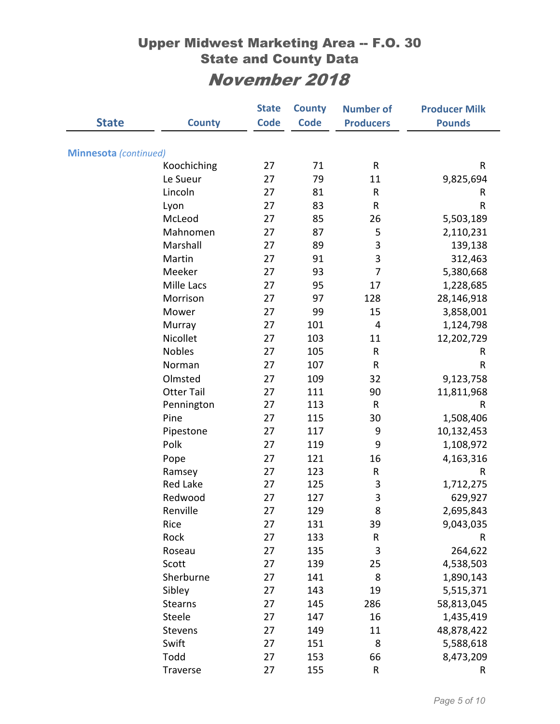|                              |                   | <b>State</b> | <b>County</b> | <b>Number of</b> | <b>Producer Milk</b> |
|------------------------------|-------------------|--------------|---------------|------------------|----------------------|
| <b>State</b>                 | <b>County</b>     | <b>Code</b>  | <b>Code</b>   | <b>Producers</b> | <b>Pounds</b>        |
|                              |                   |              |               |                  |                      |
| <b>Minnesota</b> (continued) |                   |              |               |                  |                      |
|                              | Koochiching       | 27           | 71            | $\sf R$          | R                    |
|                              | Le Sueur          | 27           | 79            | 11               | 9,825,694            |
|                              | Lincoln           | 27           | 81            | R                | R                    |
|                              | Lyon              | 27           | 83            | R                | R                    |
|                              | McLeod            | 27           | 85            | 26               | 5,503,189            |
|                              | Mahnomen          | 27           | 87            | 5                | 2,110,231            |
|                              | Marshall          | 27           | 89            | 3                | 139,138              |
|                              | Martin            | 27           | 91            | 3                | 312,463              |
|                              | Meeker            | 27           | 93            | 7                | 5,380,668            |
|                              | <b>Mille Lacs</b> | 27           | 95            | 17               | 1,228,685            |
|                              | Morrison          | 27           | 97            | 128              | 28,146,918           |
|                              | Mower             | 27           | 99            | 15               | 3,858,001            |
|                              | Murray            | 27           | 101           | $\overline{4}$   | 1,124,798            |
|                              | Nicollet          | 27           | 103           | 11               | 12,202,729           |
|                              | <b>Nobles</b>     | 27           | 105           | R                | R                    |
|                              | Norman            | 27           | 107           | R                | $\sf R$              |
|                              | Olmsted           | 27           | 109           | 32               | 9,123,758            |
|                              | <b>Otter Tail</b> | 27           | 111           | 90               | 11,811,968           |
|                              | Pennington        | 27           | 113           | R                | R                    |
|                              | Pine              | 27           | 115           | 30               | 1,508,406            |
|                              | Pipestone         | 27           | 117           | 9                | 10,132,453           |
|                              | Polk              | 27           | 119           | 9                | 1,108,972            |
|                              | Pope              | 27           | 121           | 16               | 4,163,316            |
|                              | Ramsey            | 27           | 123           | R                | R                    |
|                              | <b>Red Lake</b>   | 27           | 125           | 3                | 1,712,275            |
|                              | Redwood           | 27           | 127           | 3                | 629,927              |
|                              | Renville          | 27           | 129           | 8                | 2,695,843            |
|                              | Rice              | 27           | 131           | 39               | 9,043,035            |
|                              | Rock              | 27           | 133           | R                | ${\sf R}$            |
|                              | Roseau            | 27           | 135           | 3                | 264,622              |
|                              | Scott             | 27           | 139           | 25               | 4,538,503            |
|                              | Sherburne         | 27           | 141           | 8                | 1,890,143            |
|                              | Sibley            | 27           | 143           | 19               | 5,515,371            |
|                              | <b>Stearns</b>    | 27           | 145           | 286              | 58,813,045           |
|                              | Steele            | 27           | 147           | 16               | 1,435,419            |
|                              | Stevens           | 27           | 149           | 11               | 48,878,422           |
|                              | Swift             | 27           | 151           | 8                | 5,588,618            |
|                              | Todd              | 27           | 153           | 66               | 8,473,209            |
|                              | Traverse          | 27           | 155           | R                | R                    |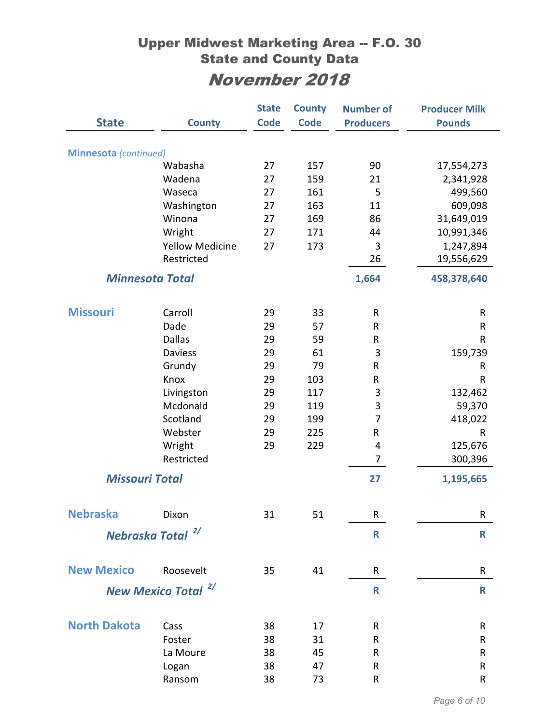|                              |                                | <b>State</b> | <b>County</b> | <b>Number of</b> | <b>Producer Milk</b> |
|------------------------------|--------------------------------|--------------|---------------|------------------|----------------------|
| <b>State</b>                 | <b>County</b>                  | <b>Code</b>  | <b>Code</b>   | <b>Producers</b> | <b>Pounds</b>        |
|                              |                                |              |               |                  |                      |
| <b>Minnesota</b> (continued) |                                |              |               |                  |                      |
|                              | Wabasha                        | 27           | 157           | 90<br>21         | 17,554,273           |
|                              | Wadena<br>Waseca               | 27<br>27     | 159<br>161    | 5                | 2,341,928            |
|                              | Washington                     | 27           | 163           | 11               | 499,560<br>609,098   |
|                              | Winona                         | 27           | 169           | 86               | 31,649,019           |
|                              | Wright                         | 27           | 171           | 44               | 10,991,346           |
|                              | <b>Yellow Medicine</b>         | 27           | 173           | 3                | 1,247,894            |
|                              | Restricted                     |              |               | 26               | 19,556,629           |
|                              |                                |              |               |                  |                      |
| <b>Minnesota Total</b>       |                                |              |               | 1,664            | 458,378,640          |
| <b>Missouri</b>              | Carroll                        | 29           | 33            | $\mathsf{R}$     | R                    |
|                              | Dade                           | 29           | 57            | R                | ${\sf R}$            |
|                              | <b>Dallas</b>                  | 29           | 59            | R                | $\mathsf{R}$         |
|                              | <b>Daviess</b>                 | 29           | 61            | 3                | 159,739              |
|                              | Grundy                         | 29           | 79            | R                | R                    |
|                              | Knox                           | 29           | 103           | R                | R                    |
|                              | Livingston                     | 29           | 117           | 3                | 132,462              |
|                              | Mcdonald                       | 29           | 119           | 3                | 59,370               |
|                              | Scotland                       | 29           | 199           | $\overline{7}$   | 418,022              |
|                              | Webster                        | 29           | 225           | R                | ${\sf R}$            |
|                              | Wright                         | 29           | 229           | 4                | 125,676              |
|                              | Restricted                     |              |               | 7                | 300,396              |
| <b>Missouri Total</b>        |                                |              |               | 27               | 1,195,665            |
|                              |                                |              |               |                  |                      |
| <b>Nebraska</b>              | Dixon                          | 31           | 51            | R                | R                    |
|                              | Nebraska Total <sup>2/</sup>   |              |               | $\mathbf R$      | $\mathsf{R}$         |
| <b>New Mexico</b>            |                                |              |               |                  |                      |
|                              | Roosevelt                      | 35           | 41            | R                | R                    |
|                              | New Mexico Total <sup>2/</sup> |              |               | $\mathsf{R}$     | $\mathbf R$          |
| <b>North Dakota</b>          | Cass                           | 38           | 17            | R                | R                    |
|                              | Foster                         | 38           | 31            | R                | R                    |
|                              | La Moure                       | 38           | 45            | R                | ${\sf R}$            |
|                              | Logan                          | 38           | 47            | ${\sf R}$        | ${\sf R}$            |
|                              | Ransom                         | 38           | 73            | R                | R                    |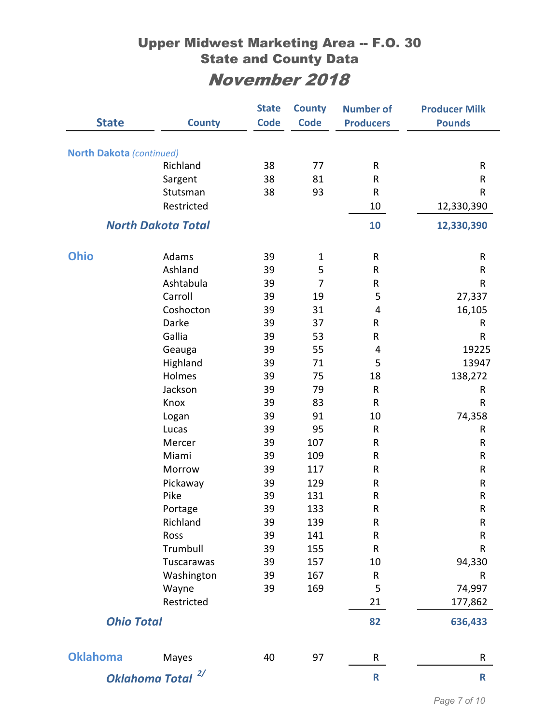| <b>State</b>                 | <b>County</b>             | <b>State</b><br><b>Code</b> | <b>County</b><br><b>Code</b> | <b>Number of</b><br><b>Producers</b> | <b>Producer Milk</b><br><b>Pounds</b> |
|------------------------------|---------------------------|-----------------------------|------------------------------|--------------------------------------|---------------------------------------|
|                              |                           |                             |                              |                                      |                                       |
| North Dakota (continued)     |                           |                             |                              |                                      |                                       |
|                              | Richland                  | 38                          | 77                           | R                                    | $\sf R$                               |
|                              | Sargent                   | 38                          | 81                           | R                                    | R                                     |
|                              | Stutsman                  | 38                          | 93                           | R                                    | R                                     |
|                              | Restricted                |                             |                              | 10                                   | 12,330,390                            |
|                              | <b>North Dakota Total</b> |                             |                              | 10                                   | 12,330,390                            |
|                              |                           |                             |                              |                                      |                                       |
| <b>Ohio</b>                  | Adams<br>Ashland          | 39                          | $\mathbf 1$                  | R                                    | R                                     |
|                              | Ashtabula                 | 39                          | 5<br>7                       | R                                    | R                                     |
|                              | Carroll                   | 39<br>39                    | 19                           | R<br>5                               | R                                     |
|                              | Coshocton                 | 39                          | 31                           | 4                                    | 27,337<br>16,105                      |
|                              | Darke                     | 39                          | 37                           | R                                    | R                                     |
|                              | Gallia                    | 39                          | 53                           | R                                    | R                                     |
|                              | Geauga                    | 39                          | 55                           | 4                                    | 19225                                 |
|                              | Highland                  | 39                          | 71                           | 5                                    | 13947                                 |
|                              | Holmes                    | 39                          | 75                           | 18                                   | 138,272                               |
|                              | Jackson                   | 39                          | 79                           | R                                    | R                                     |
|                              | Knox                      | 39                          | 83                           | R                                    | R                                     |
|                              | Logan                     | 39                          | 91                           | 10                                   | 74,358                                |
|                              | Lucas                     | 39                          | 95                           | R                                    | ${\sf R}$                             |
|                              | Mercer                    | 39                          | 107                          | R                                    | R                                     |
|                              | Miami                     | 39                          | 109                          | R                                    | $\sf R$                               |
|                              | Morrow                    | 39                          | 117                          | R                                    | ${\sf R}$                             |
|                              | Pickaway                  | 39                          | 129                          | R                                    | ${\sf R}$                             |
|                              | Pike                      | 39                          | 131                          | $\sf R$                              | ${\sf R}$                             |
|                              | Portage                   | 39                          | 133                          | R                                    | R                                     |
|                              | Richland                  | 39                          | 139                          | R                                    | $\mathsf R$                           |
|                              | Ross                      | 39                          | 141                          | R                                    | R                                     |
|                              | Trumbull                  | 39                          | 155                          | R                                    | R                                     |
|                              | Tuscarawas                | 39                          | 157                          | 10                                   | 94,330                                |
|                              | Washington                | 39                          | 167                          | R                                    | R                                     |
|                              | Wayne                     | 39                          | 169                          | 5                                    | 74,997                                |
|                              | Restricted                |                             |                              | 21                                   | 177,862                               |
| <b>Ohio Total</b>            |                           |                             |                              | 82                                   | 636,433                               |
| <b>Oklahoma</b>              | Mayes                     | 40                          | 97                           | R                                    | R                                     |
|                              |                           |                             |                              |                                      |                                       |
| Oklahoma Total <sup>2/</sup> |                           |                             |                              | $\mathbf R$                          | R                                     |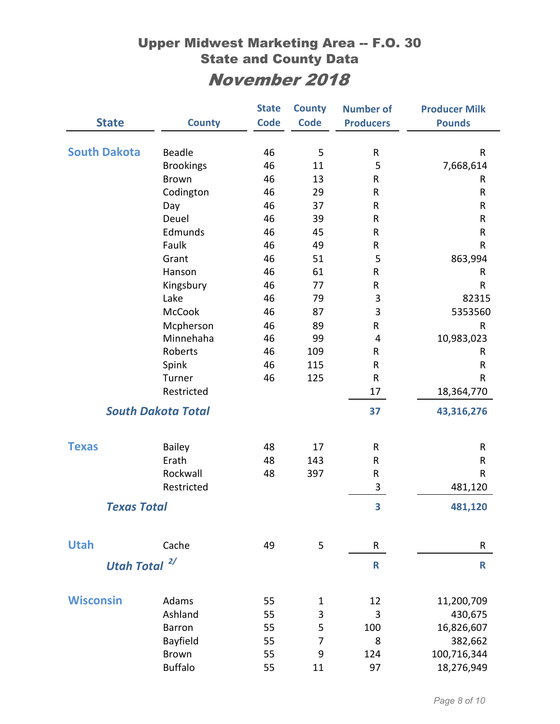|                     |                           | <b>State</b> | <b>County</b>  | <b>Number of</b> | <b>Producer Milk</b> |
|---------------------|---------------------------|--------------|----------------|------------------|----------------------|
| <b>State</b>        | <b>County</b>             | <b>Code</b>  | <b>Code</b>    | <b>Producers</b> | <b>Pounds</b>        |
|                     |                           |              |                |                  |                      |
| <b>South Dakota</b> | <b>Beadle</b>             | 46           | 5              | R                | R                    |
|                     | <b>Brookings</b>          | 46           | 11             | 5                | 7,668,614            |
|                     | <b>Brown</b>              | 46           | 13             | R                | R                    |
|                     | Codington                 | 46           | 29             | R                | R                    |
|                     | Day                       | 46           | 37             | R                | ${\sf R}$            |
|                     | Deuel                     | 46           | 39             | R                | R                    |
|                     | Edmunds                   | 46           | 45             | ${\sf R}$        | ${\sf R}$            |
|                     | Faulk                     | 46           | 49             | R                | R                    |
|                     | Grant                     | 46           | 51             | 5                | 863,994              |
|                     | Hanson                    | 46           | 61             | R                | R                    |
|                     | Kingsbury                 | 46           | 77             | R                | R                    |
|                     | Lake                      | 46           | 79             | 3                | 82315                |
|                     | <b>McCook</b>             | 46           | 87             | 3                | 5353560              |
|                     | Mcpherson                 | 46           | 89             | R                | ${\sf R}$            |
|                     | Minnehaha                 | 46           | 99             | 4                | 10,983,023           |
|                     | Roberts                   | 46           | 109            | R                | R                    |
|                     | Spink                     | 46           | 115            | ${\sf R}$        | R                    |
|                     | Turner                    | 46           | 125            | ${\sf R}$        | R                    |
|                     | Restricted                |              |                | 17               | 18,364,770           |
|                     | <b>South Dakota Total</b> |              |                | 37               | 43,316,276           |
| <b>Texas</b>        | <b>Bailey</b>             | 48           | 17             | R                | R                    |
|                     | Erath                     | 48           | 143            | R                | R                    |
|                     | Rockwall                  | 48           | 397            | R                | R                    |
|                     | Restricted                |              |                | 3                | 481,120              |
|                     |                           |              |                |                  |                      |
| <b>Texas Total</b>  |                           |              |                | 3                | 481,120              |
| <b>Utah</b>         | Cache                     | 49           | 5              | R                | R                    |
| <b>Utah Total</b>   | 2/                        |              |                | R                | R                    |
|                     |                           |              |                |                  |                      |
| <b>Wisconsin</b>    | Adams                     | 55           | $\mathbf 1$    | 12               | 11,200,709           |
|                     | Ashland                   | 55           | 3              | 3                | 430,675              |
|                     | Barron                    | 55           | 5              | 100              | 16,826,607           |
|                     | Bayfield                  | 55           | $\overline{7}$ | 8                | 382,662              |
|                     | <b>Brown</b>              | 55           | 9              | 124              | 100,716,344          |
|                     | <b>Buffalo</b>            | 55           | 11             | 97               | 18,276,949           |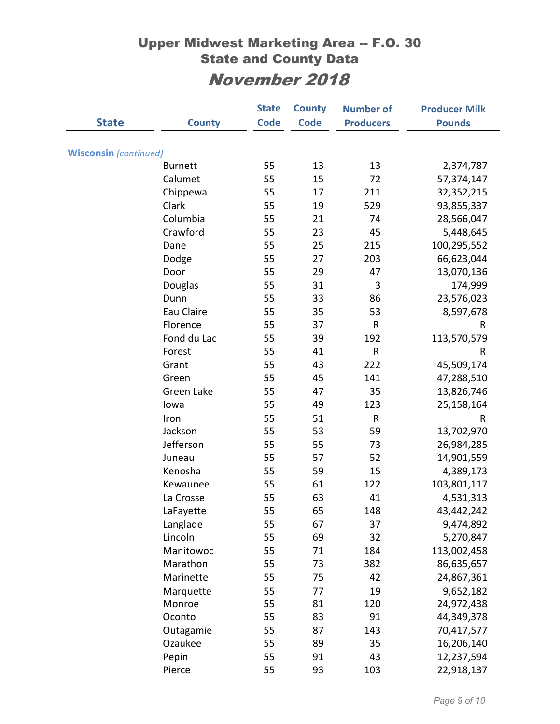|                              |                | <b>State</b> | <b>County</b> | <b>Number of</b> | <b>Producer Milk</b> |
|------------------------------|----------------|--------------|---------------|------------------|----------------------|
| <b>State</b>                 | <b>County</b>  | <b>Code</b>  | <b>Code</b>   | <b>Producers</b> | <b>Pounds</b>        |
|                              |                |              |               |                  |                      |
| <b>Wisconsin</b> (continued) |                |              |               |                  |                      |
|                              | <b>Burnett</b> | 55           | 13            | 13               | 2,374,787            |
|                              | Calumet        | 55           | 15            | 72               | 57,374,147           |
|                              | Chippewa       | 55           | 17            | 211              | 32,352,215           |
|                              | Clark          | 55           | 19            | 529              | 93,855,337           |
|                              | Columbia       | 55           | 21            | 74               | 28,566,047           |
|                              | Crawford       | 55           | 23            | 45               | 5,448,645            |
|                              | Dane           | 55           | 25            | 215              | 100,295,552          |
|                              | Dodge          | 55           | 27            | 203              | 66,623,044           |
|                              | Door           | 55           | 29            | 47               | 13,070,136           |
|                              | Douglas        | 55           | 31            | 3                | 174,999              |
|                              | Dunn           | 55           | 33            | 86               | 23,576,023           |
|                              | Eau Claire     | 55           | 35            | 53               | 8,597,678            |
|                              | Florence       | 55           | 37            | $\sf R$          | $\mathsf{R}$         |
|                              | Fond du Lac    | 55           | 39            | 192              | 113,570,579          |
|                              | Forest         | 55           | 41            | ${\sf R}$        | R                    |
|                              | Grant          | 55           | 43            | 222              | 45,509,174           |
|                              | Green          | 55           | 45            | 141              | 47,288,510           |
|                              | Green Lake     | 55           | 47            | 35               | 13,826,746           |
|                              | lowa           | 55           | 49            | 123              | 25,158,164           |
|                              | Iron           | 55           | 51            | R                | R                    |
|                              | Jackson        | 55           | 53            | 59               | 13,702,970           |
|                              | Jefferson      | 55           | 55            | 73               | 26,984,285           |
|                              | Juneau         | 55           | 57            | 52               | 14,901,559           |
|                              | Kenosha        | 55           | 59            | 15               | 4,389,173            |
|                              | Kewaunee       | 55           | 61            | 122              | 103,801,117          |
|                              | La Crosse      | 55           | 63            | 41               | 4,531,313            |
|                              | LaFayette      | 55           | 65            | 148              | 43,442,242           |
|                              | Langlade       | 55           | 67            | 37               | 9,474,892            |
|                              | Lincoln        | 55           | 69            | 32               | 5,270,847            |
|                              | Manitowoc      | 55           | 71            | 184              | 113,002,458          |
|                              | Marathon       | 55           | 73            | 382              | 86,635,657           |
|                              | Marinette      | 55           | 75            | 42               | 24,867,361           |
|                              | Marquette      | 55           | 77            | 19               | 9,652,182            |
|                              | Monroe         | 55           | 81            | 120              | 24,972,438           |
|                              | Oconto         | 55           | 83            | 91               | 44,349,378           |
|                              | Outagamie      | 55           | 87            | 143              | 70,417,577           |
|                              | Ozaukee        | 55           | 89            | 35               | 16,206,140           |
|                              | Pepin          | 55           | 91            | 43               | 12,237,594           |
|                              | Pierce         | 55           | 93            | 103              | 22,918,137           |